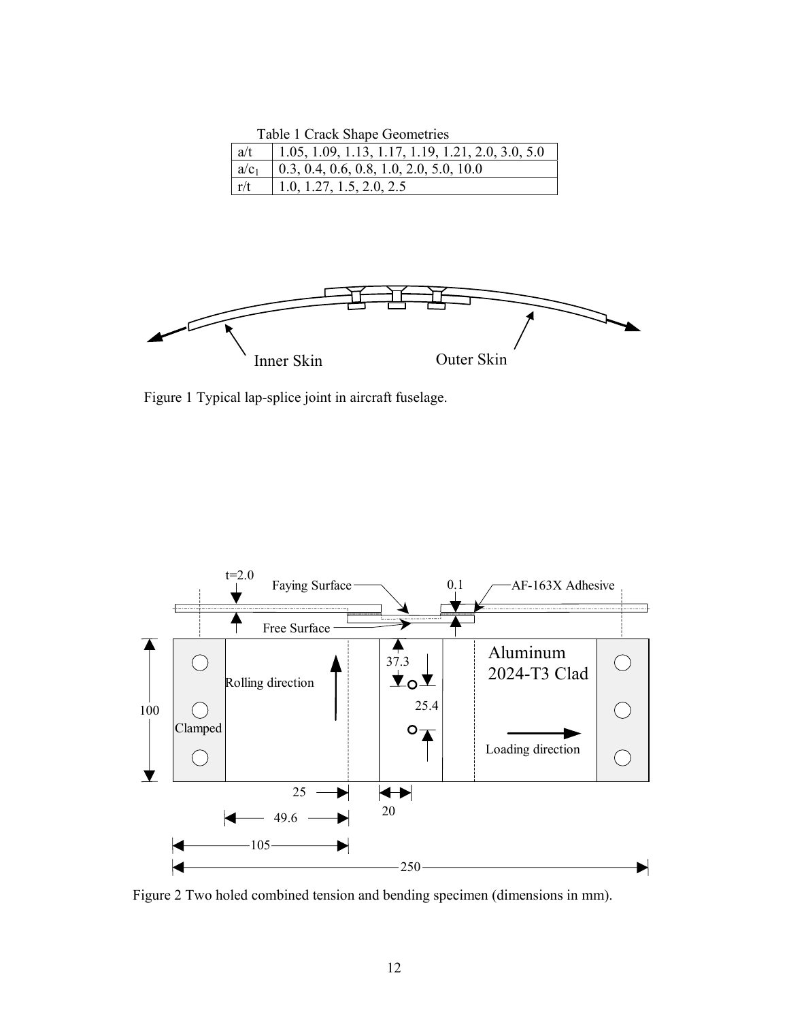Table 1 Crack Shape Geometries

| a/t     | $\vert$ 1.05, 1.09, 1.13, 1.17, 1.19, 1.21, 2.0, 3.0, 5.0 |
|---------|-----------------------------------------------------------|
| $a/c_1$ | $\vert$ 0.3, 0.4, 0.6, 0.8, 1.0, 2.0, 5.0, 10.0           |
| r/t     | $\vert$ 1.0, 1.27, 1.5, 2.0, 2.5                          |



Figure 1 Typical lap-splice joint in aircraft fuselage.



Figure 2 Two holed combined tension and bending specimen (dimensions in mm).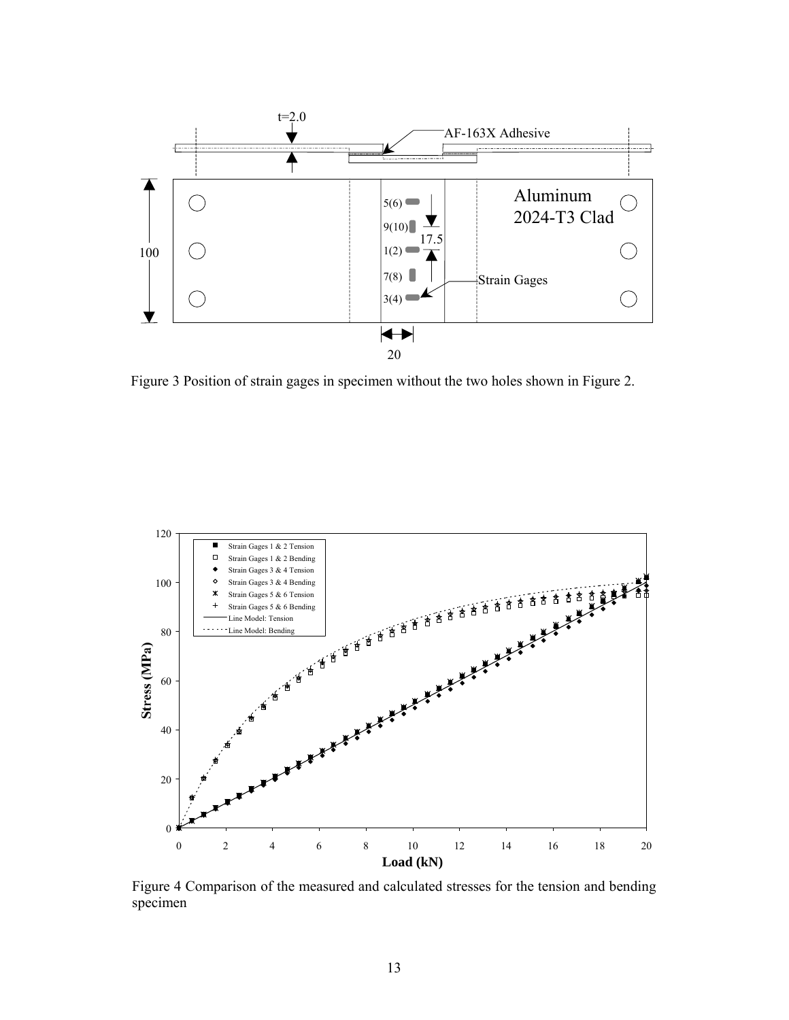

Figure 3 Position of strain gages in specimen without the two holes shown in Figure 2.



Figure 4 Comparison of the measured and calculated stresses for the tension and bending specimen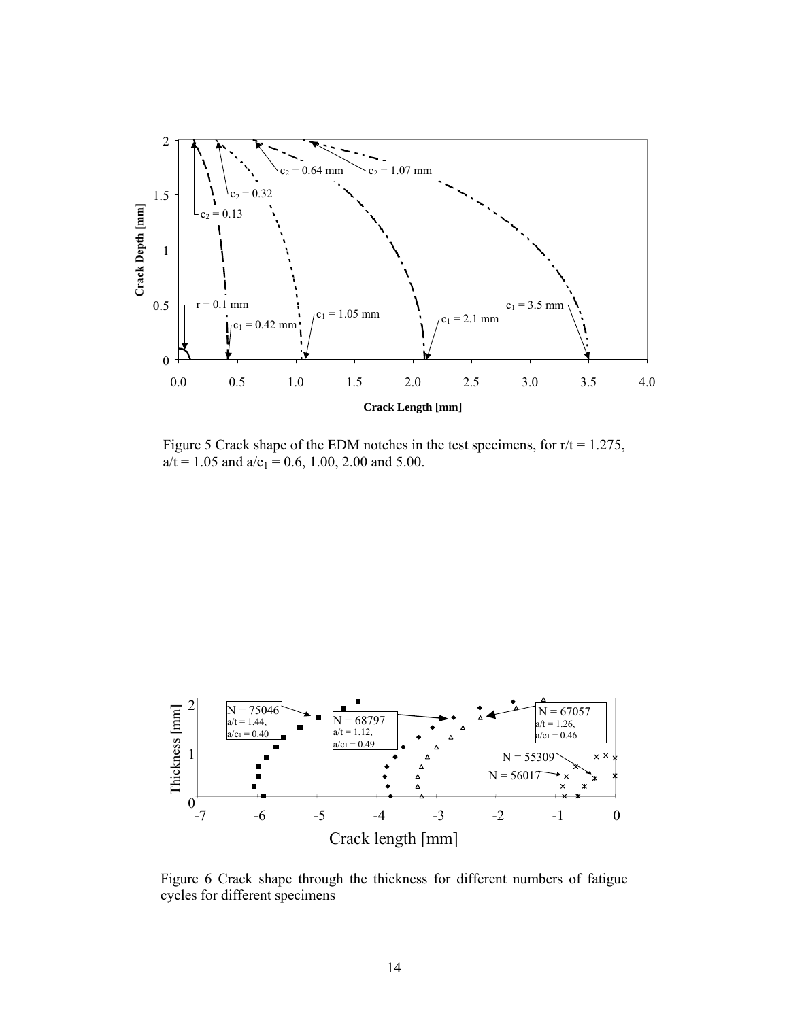

Figure 5 Crack shape of the EDM notches in the test specimens, for  $r/t = 1.275$ ,  $a/t = 1.05$  and  $a/c_1 = 0.6$ , 1.00, 2.00 and 5.00.



Figure 6 Crack shape through the thickness for different numbers of fatigue cycles for different specimens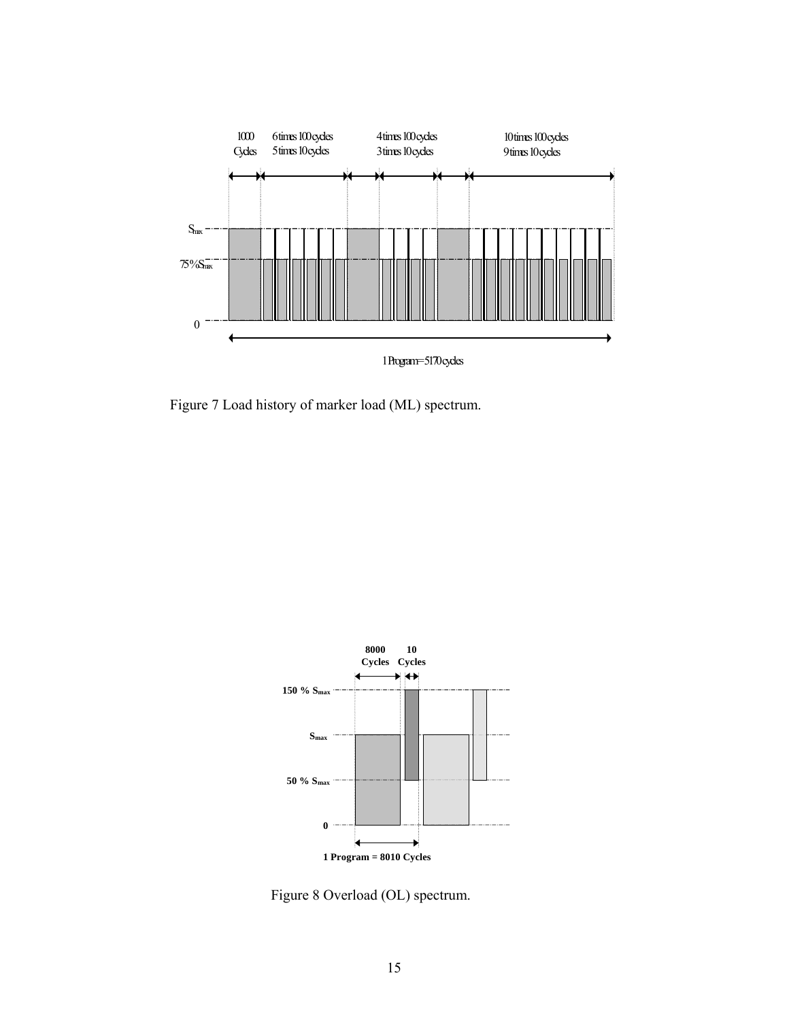

Figure 7 Load history of marker load (ML) spectrum.



Figure 8 Overload (OL) spectrum.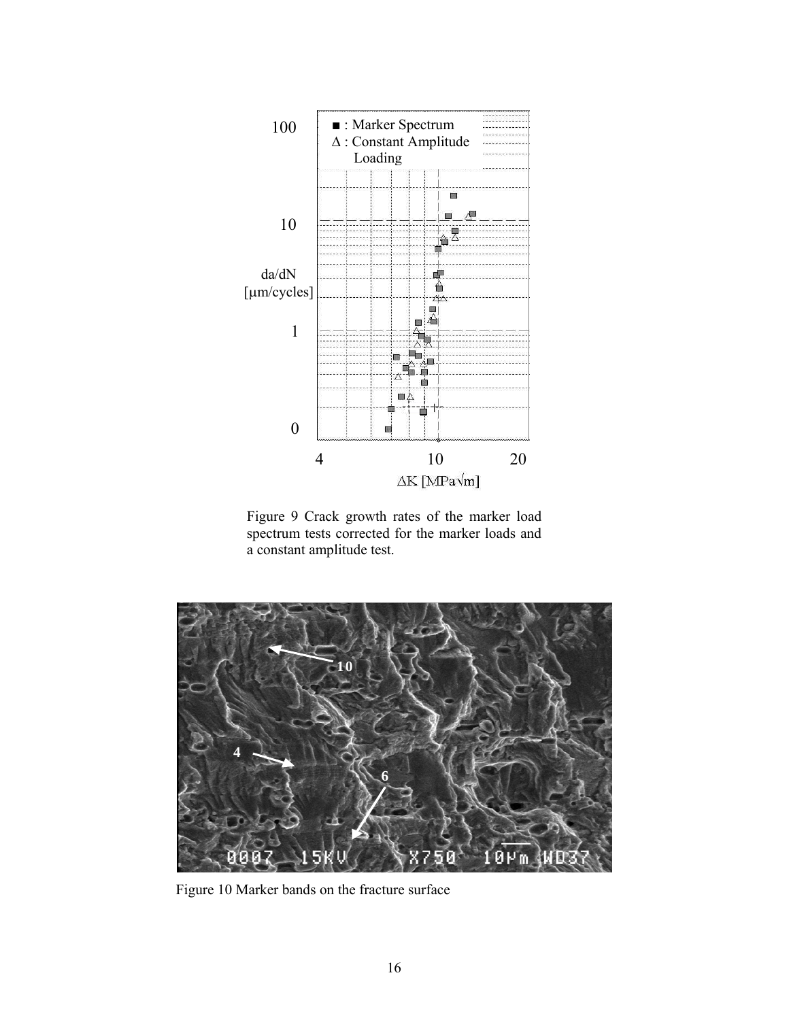

Figure 9 Crack growth rates of the marker load spectrum tests corrected for the marker loads and a constant amplitude test.



Figure 10 Marker bands on the fracture surface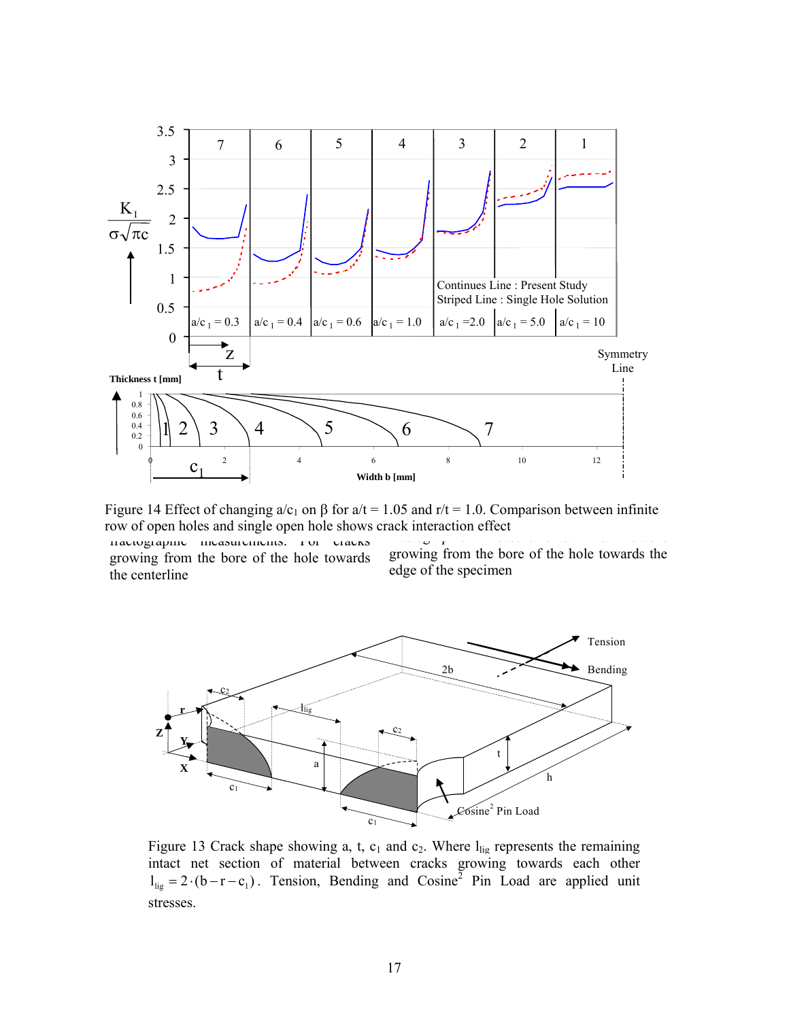

Figure 11 Enter of enarging a  $e_1$  on  $p$  for and 11.000 and 11.000 comparison services infinite<br>ow of open holes and single open hole shows crack interaction effect from the fraction of the cracks of cracks  $\sigma$  cracks of cracks of cracks of cracks  $\sigma$ Figure 14 Effect of changing  $a/c_1$  on  $\beta$  for  $a/t = 1.05$  and  $r/t = 1.0$ . Comparison between infinite row of open holes and single open hole shows crack interaction effect

fractographic measurements. For cracks growing from the bore of the hole towards the centerline

growing from the bore of the hole towards the edge of the specimen



Figure 13 Crack shape showing a, t,  $c_1$  and  $c_2$ . Where  $l_{\text{lig}}$  represents the remaining intact net section of material between cracks growing towards each other  $l_{\text{lig}} = 2 \cdot (b - r - c_1)$ . Tension, Bending and Cosine<sup>2</sup> Pin Load are applied unit stresses.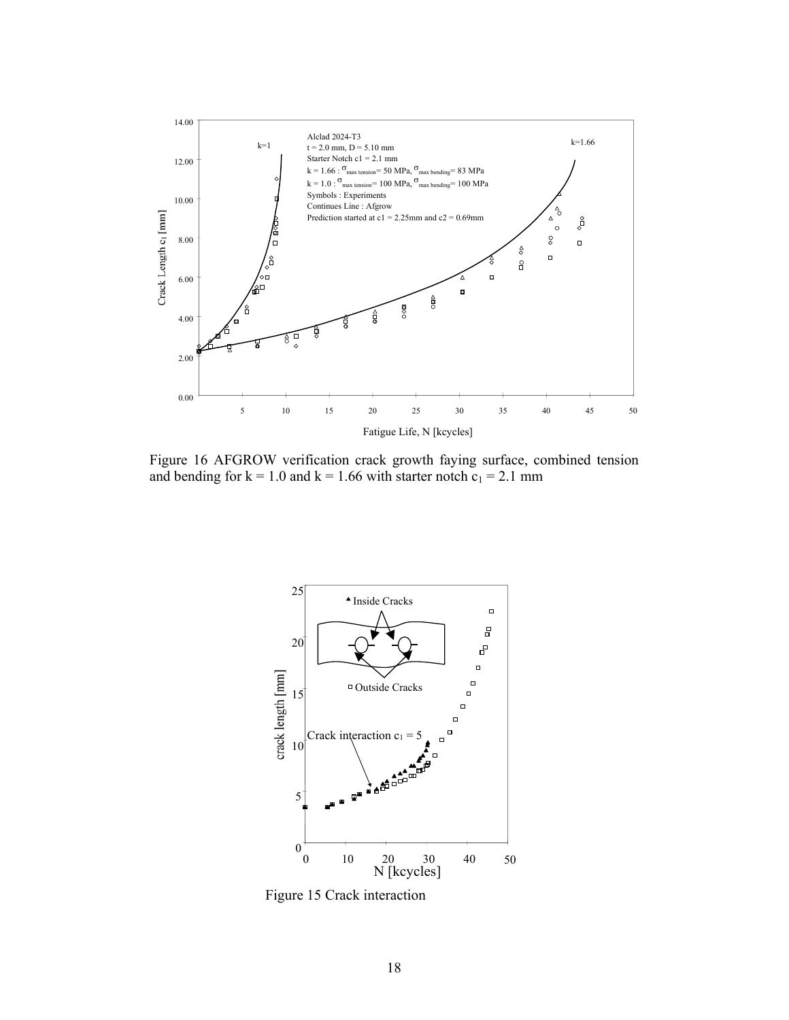

Figure 16 AFGROW verification crack growth faying surface, combined tension and bending for  $k = 1.0$  and  $k = 1.66$  with starter notch  $c_1 = 2.1$  mm



Figure 15 Crack interaction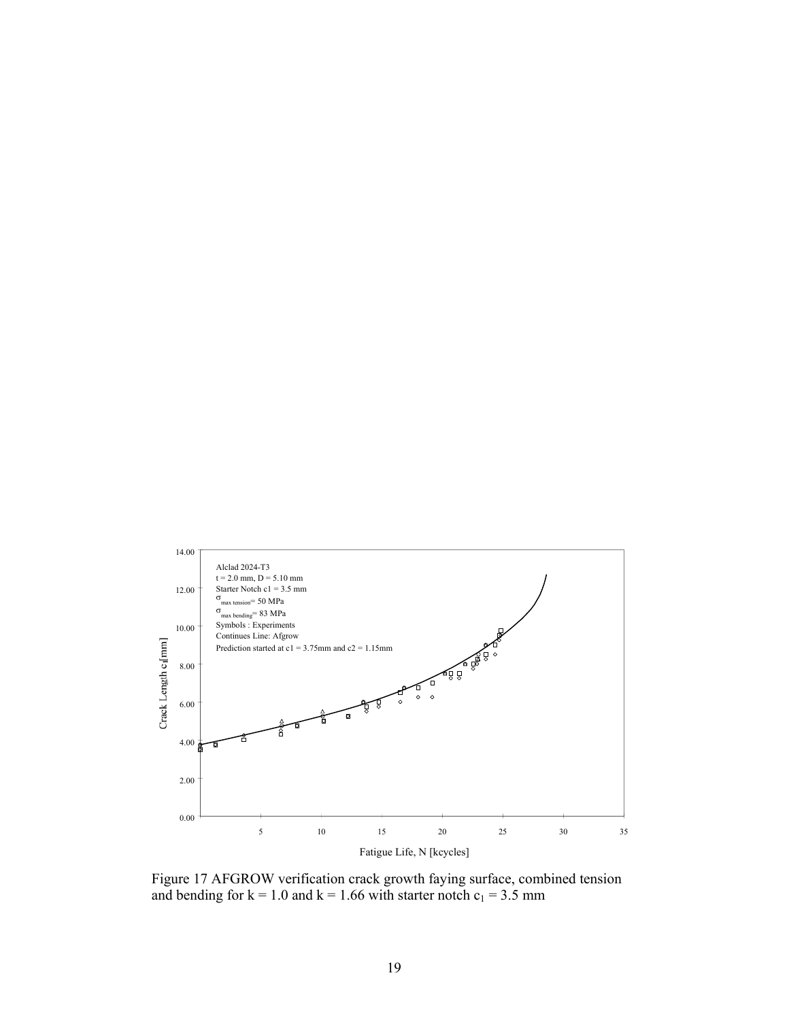

Figure 17 AFGROW verification crack growth faying surface, combined tension and bending for  $k = 1.0$  and  $k = 1.66$  with starter notch  $c_1 = 3.5$  mm